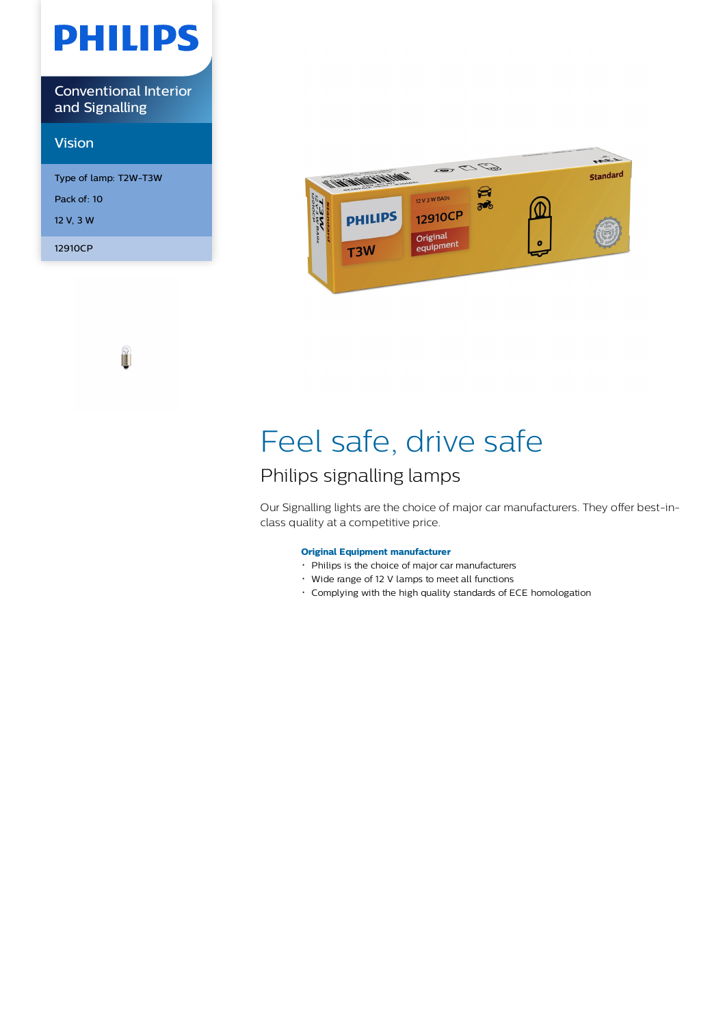# **PHILIPS**

Conventional Interior and Signalling

## Vision

Type of lamp: T2W-T3W Pack of: 10 12 V, 3 W 12910CP

ĭ



# Feel safe, drive safe

## Philips signalling lamps

Our Signalling lights are the choice of major car manufacturers. They offer best-inclass quality at a competitive price.

### **Original Equipment manufacturer**

- Philips is the choice of major car manufacturers
- Wide range of 12 V lamps to meet all functions
- Complying with the high quality standards of ECE homologation